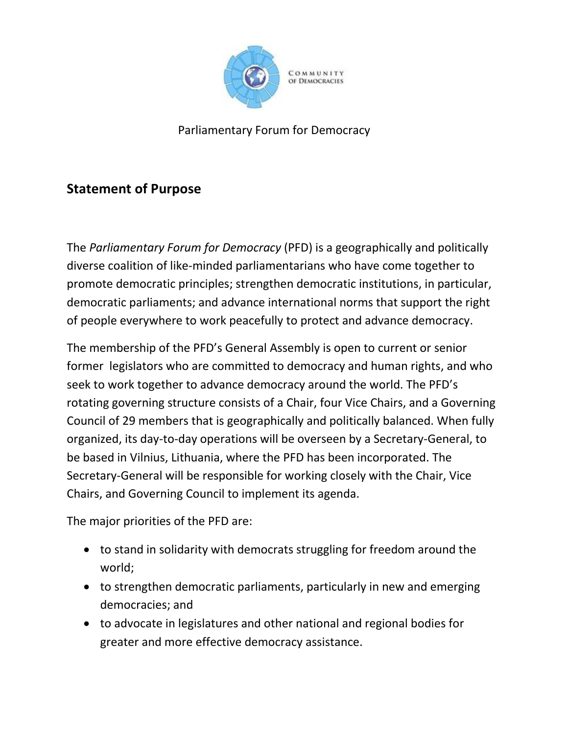

Parliamentary Forum for Democracy

## **Statement of Purpose**

The *Parliamentary Forum for Democracy* (PFD) is a geographically and politically diverse coalition of like-minded parliamentarians who have come together to promote democratic principles; strengthen democratic institutions, in particular, democratic parliaments; and advance international norms that support the right of people everywhere to work peacefully to protect and advance democracy.

The membership of the PFD's General Assembly is open to current or senior former legislators who are committed to democracy and human rights, and who seek to work together to advance democracy around the world. The PFD's rotating governing structure consists of a Chair, four Vice Chairs, and a Governing Council of 29 members that is geographically and politically balanced. When fully organized, its day-to-day operations will be overseen by a Secretary-General, to be based in Vilnius, Lithuania, where the PFD has been incorporated. The Secretary-General will be responsible for working closely with the Chair, Vice Chairs, and Governing Council to implement its agenda.

The major priorities of the PFD are:

- to stand in solidarity with democrats struggling for freedom around the world;
- to strengthen democratic parliaments, particularly in new and emerging democracies; and
- to advocate in legislatures and other national and regional bodies for greater and more effective democracy assistance.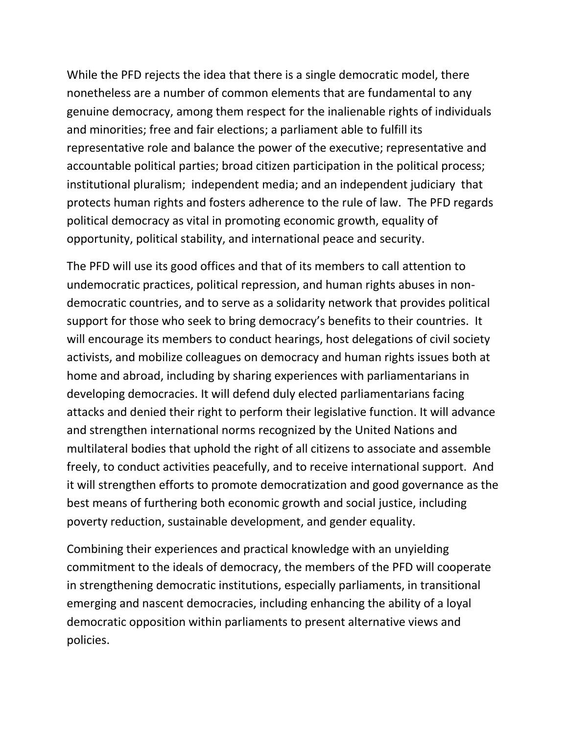While the PFD rejects the idea that there is a single democratic model, there nonetheless are a number of common elements that are fundamental to any genuine democracy, among them respect for the inalienable rights of individuals and minorities; free and fair elections; a parliament able to fulfill its representative role and balance the power of the executive; representative and accountable political parties; broad citizen participation in the political process; institutional pluralism; independent media; and an independent judiciary that protects human rights and fosters adherence to the rule of law. The PFD regards political democracy as vital in promoting economic growth, equality of opportunity, political stability, and international peace and security.

The PFD will use its good offices and that of its members to call attention to undemocratic practices, political repression, and human rights abuses in nondemocratic countries, and to serve as a solidarity network that provides political support for those who seek to bring democracy's benefits to their countries. It will encourage its members to conduct hearings, host delegations of civil society activists, and mobilize colleagues on democracy and human rights issues both at home and abroad, including by sharing experiences with parliamentarians in developing democracies. It will defend duly elected parliamentarians facing attacks and denied their right to perform their legislative function. It will advance and strengthen international norms recognized by the United Nations and multilateral bodies that uphold the right of all citizens to associate and assemble freely, to conduct activities peacefully, and to receive international support. And it will strengthen efforts to promote democratization and good governance as the best means of furthering both economic growth and social justice, including poverty reduction, sustainable development, and gender equality.

Combining their experiences and practical knowledge with an unyielding commitment to the ideals of democracy, the members of the PFD will cooperate in strengthening democratic institutions, especially parliaments, in transitional emerging and nascent democracies, including enhancing the ability of a loyal democratic opposition within parliaments to present alternative views and policies.